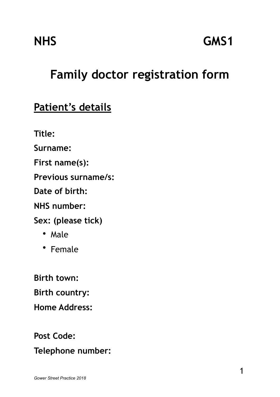# **Family doctor registration form**

## **Patient's details**

**Title:** 

**Surname:** 

**First name(s):** 

**Previous surname/s:** 

**Date of birth:** 

**NHS number:** 

**Sex: (please tick)** 

- Male
- Female

**Birth town: Birth country: Home Address:** 

**Post Code:** 

**Telephone number:**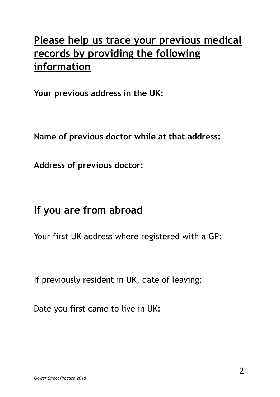# **Please help us trace your previous medical records by providing the following information**

**Your previous address in the UK:** 

**Name of previous doctor while at that address:** 

**Address of previous doctor:** 

## **If you are from abroad**

Your first UK address where registered with a GP:

If previously resident in UK, date of leaving:

Date you first came to live in UK: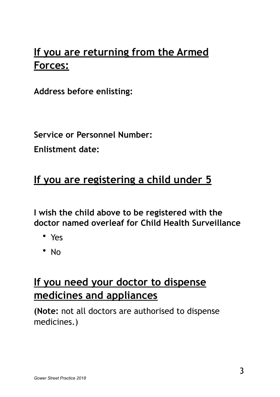# **If you are returning from the Armed Forces:**

**Address before enlisting:** 

**Service or Personnel Number:** 

**Enlistment date:** 

## **If you are registering a child under 5**

**I wish the child above to be registered with the doctor named overleaf for Child Health Surveillance** 

- Yes
- No

## **If you need your doctor to dispense medicines and appliances**

**(Note:** not all doctors are authorised to dispense medicines.)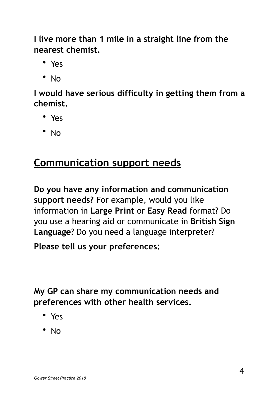**I live more than 1 mile in a straight line from the nearest chemist.** 

- Yes
- No

**I would have serious difficulty in getting them from a chemist.** 

- Yes
- No

## **Communication support needs**

**Do you have any information and communication support needs?** For example, would you like information in **Large Print** or **Easy Read** format? Do you use a hearing aid or communicate in **British Sign Language**? Do you need a language interpreter?

**Please tell us your preferences:** 

**My GP can share my communication needs and preferences with other health services.** 

- Yes
- No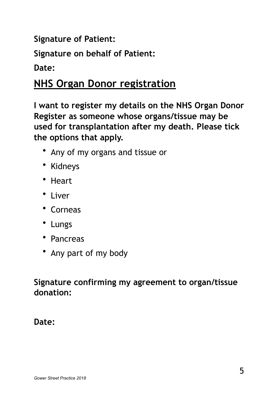**Signature of Patient:** 

**Signature on behalf of Patient:** 

**Date:** 

## **NHS Organ Donor registration**

**I want to register my details on the NHS Organ Donor Register as someone whose organs/tissue may be used for transplantation after my death. Please tick the options that apply.** 

- Any of my organs and tissue or
- Kidneys
- Heart
- Liver
- Corneas
- Lungs
- Pancreas
- Any part of my body

#### **Signature confirming my agreement to organ/tissue donation:**

#### **Date:**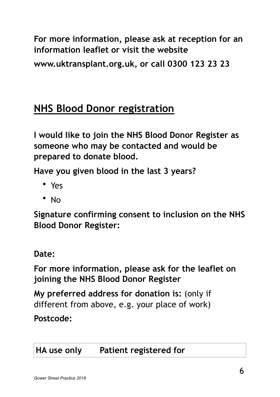**For more information, please ask at reception for an information leaflet or visit the website** 

**www.uktransplant.org.uk, or call 0300 123 23 23** 

## **NHS Blood Donor registration**

**I would like to join the NHS Blood Donor Register as someone who may be contacted and would be prepared to donate blood.** 

**Have you given blood in the last 3 years?** 

- Yes
- No

**Signature confirming consent to inclusion on the NHS Blood Donor Register:** 

#### **Date:**

**For more information, please ask for the leaflet on joining the NHS Blood Donor Register** 

**My preferred address for donation is:** (only if different from above, e.g. your place of work)

#### **Postcode:**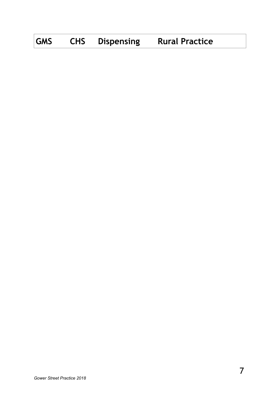| <b>GMS</b> | <b>CHS</b> | <b>Dispensing</b> | <b>Rural Practice</b> |  |
|------------|------------|-------------------|-----------------------|--|
|------------|------------|-------------------|-----------------------|--|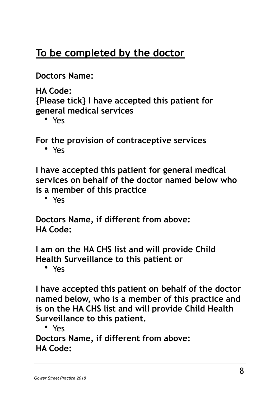# **To be completed by the doctor**

**Doctors Name:** 

**HA Code:** 

**{Please tick} I have accepted this patient for general medical services** 

• Yes

**For the provision of contraceptive services** 

• Yes

**I have accepted this patient for general medical services on behalf of the doctor named below who is a member of this practice** 

• Yes

**Doctors Name, if different from above: HA Code:** 

**I am on the HA CHS list and will provide Child Health Surveillance to this patient or** 

• Yes

**I have accepted this patient on behalf of the doctor named below, who is a member of this practice and is on the HA CHS list and will provide Child Health Surveillance to this patient.** 

• Yes

**Doctors Name, if different from above: HA Code:**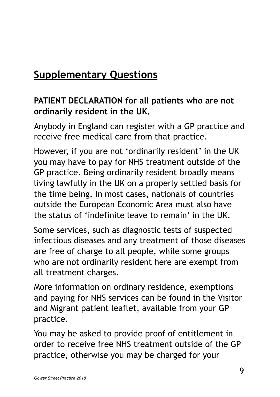# **Supplementary Questions**

### **PATIENT DECLARATION for all patients who are not ordinarily resident in the UK.**

Anybody in England can register with a GP practice and receive free medical care from that practice.

However, if you are not 'ordinarily resident' in the UK you may have to pay for NHS treatment outside of the GP practice. Being ordinarily resident broadly means living lawfully in the UK on a properly settled basis for the time being. In most cases, nationals of countries outside the European Economic Area must also have the status of 'indefinite leave to remain' in the UK.

Some services, such as diagnostic tests of suspected infectious diseases and any treatment of those diseases are free of charge to all people, while some groups who are not ordinarily resident here are exempt from all treatment charges.

More information on ordinary residence, exemptions and paying for NHS services can be found in the Visitor and Migrant patient leaflet, available from your GP practice.

You may be asked to provide proof of entitlement in order to receive free NHS treatment outside of the GP practice, otherwise you may be charged for your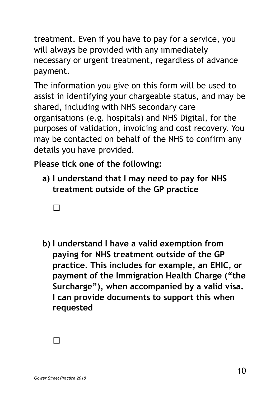treatment. Even if you have to pay for a service, you will always be provided with any immediately necessary or urgent treatment, regardless of advance payment.

The information you give on this form will be used to assist in identifying your chargeable status, and may be shared, including with NHS secondary care organisations (e.g. hospitals) and NHS Digital, for the purposes of validation, invoicing and cost recovery. You may be contacted on behalf of the NHS to confirm any details you have provided.

**Please tick one of the following:** 

- **a) I understand that I may need to pay for NHS treatment outside of the GP practice** 
	- □
- **b) I understand I have a valid exemption from paying for NHS treatment outside of the GP practice. This includes for example, an EHIC, or payment of the Immigration Health Charge ("the Surcharge"), when accompanied by a valid visa. I can provide documents to support this when requested**

 $\Box$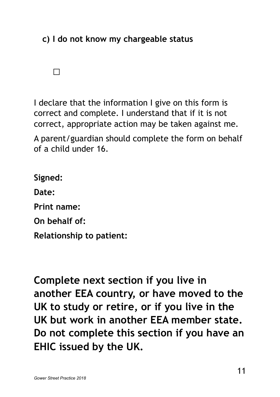**c) I do not know my chargeable status** 

□

I declare that the information I give on this form is correct and complete. I understand that if it is not correct, appropriate action may be taken against me. A parent/guardian should complete the form on behalf of a child under 16.

**Signed: Date: Print name: On behalf of: Relationship to patient:** 

**Complete next section if you live in another EEA country, or have moved to the UK to study or retire, or if you live in the UK but work in another EEA member state. Do not complete this section if you have an EHIC issued by the UK.**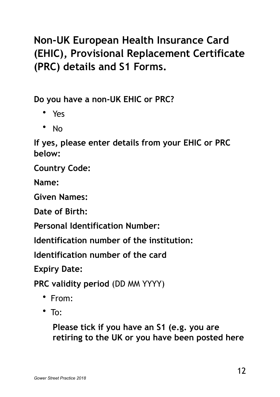# **Non-UK European Health Insurance Card (EHIC), Provisional Replacement Certificate (PRC) details and S1 Forms.**

**Do you have a non-UK EHIC or PRC?** 

- Yes
- No

**If yes, please enter details from your EHIC or PRC below:** 

**Country Code:** 

**Name:** 

**Given Names:** 

**Date of Birth:** 

**Personal Identification Number:** 

**Identification number of the institution:** 

**Identification number of the card** 

**Expiry Date:** 

**PRC validity period** (DD MM YYYY)

- From:
- $\cdot$  To:

**Please tick if you have an S1 (e.g. you are retiring to the UK or you have been posted here**